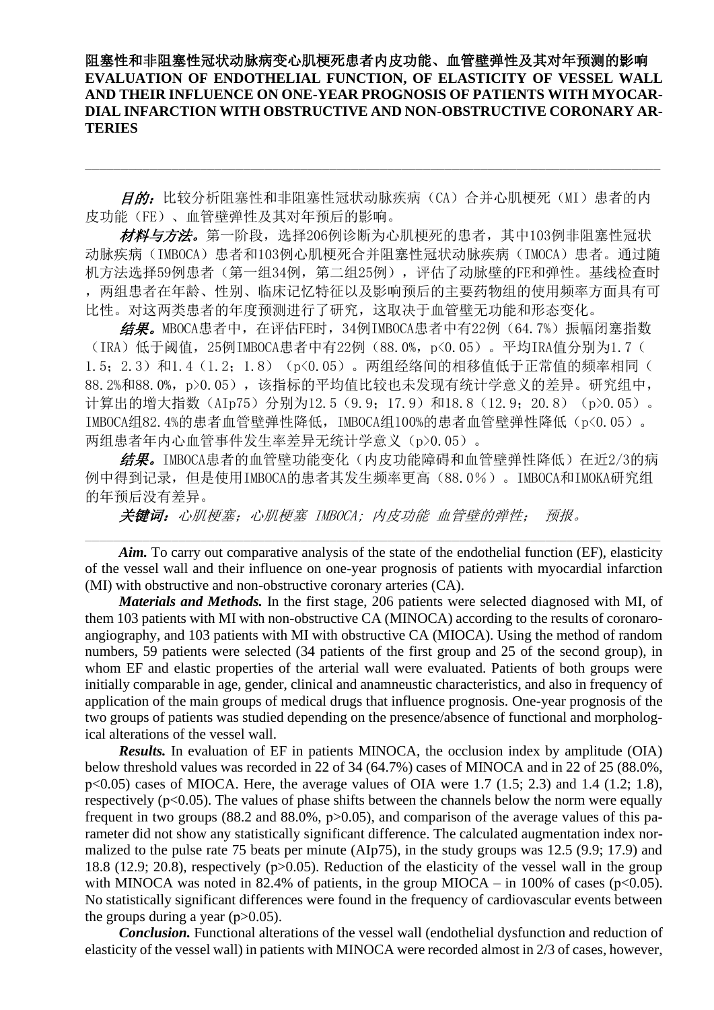阻塞性和非阻塞性冠状动脉病变心肌梗死患者内皮功能、血管壁弹性及其对年预测的影响 **EVALUATION OF ENDOTHELIAL FUNCTION, OF ELASTICITY OF VESSEL WALL AND THEIR INFLUENCE ON ONE-YEAR PROGNOSIS OF PATIENTS WITH MYOCAR-DIAL INFARCTION WITH OBSTRUCTIVE AND NON-OBSTRUCTIVE CORONARY AR-TERIES**

目的: 比较分析阻塞性和非阻塞性冠状动脉疾病(CA)合并心肌梗死(MI)患者的内 皮功能(FE)、血管壁弹性及其对年预后的影响。

材料与方法。第一阶段,选择206例诊断为心肌梗死的患者,其中103例非阻塞性冠状 动脉疾病(IMBOCA)患者和103例心肌梗死合并阻塞性冠状动脉疾病(IMOCA)患者。通过随 机方法选择59例患者(第一组34例,第二组25例),评估了动脉壁的FE和弹性。基线检查时 ,两组患者在年龄、性别、临床记忆特征以及影响预后的主要药物组的使用频率方面具有可 比性。对这两类患者的年度预测进行了研究,这取决于血管壁无功能和形态变化。

结果。MBOCA患者中,在评估FE时,34例IMBOCA患者中有22例(64.7%)振幅闭塞指数 (IRA)低于阈值,25例IMBOCA患者中有22例(88.0%,p<0.05)。平均IRA值分别为1.7( 1.5; 2.3) 和1.4 (1.2; 1.8) (p<0.05)。两组经络间的相移值低于正常值的频率相同( 88.2%和88.0%,p>0.05),该指标的平均值比较也未发现有统计学意义的差异。研究组中, 计算出的增大指数(AIp75)分别为12.5(9.9;17.9)和18.8(12.9;20.8)(p>0.05)。 IMBOCA组82.4%的患者血管壁弹性降低,IMBOCA组100%的患者血管壁弹性降低(p<0.05)。 两组患者年内心血管事件发生率差异无统计学意义(p>0.05)。

结果。IMBOCA患者的血管壁功能变化(内皮功能障碍和血管壁弹性降低)在近2/3的病 例中得到记录,但是使用IMBOCA的患者其发生频率更高(88.0%)。IMBOCA和IMOKA研究组 的年预后没有差异。

关键词:心肌梗塞;心肌梗塞 IMBOCA; 内皮功能 血管壁的弹性; 预报。

Aim. To carry out comparative analysis of the state of the endothelial function (EF), elasticity of the vessel wall and their influence on one-year prognosis of patients with myocardial infarction (MI) with obstructive and non-obstructive coronary arteries (CA).

*Materials and Methods.* In the first stage, 206 patients were selected diagnosed with MI, of them 103 patients with MI with non-obstructive CA (MINOCA) according to the results of coronaroangiography, and 103 patients with MI with obstructive CA (MIOCA). Using the method of random numbers, 59 patients were selected (34 patients of the first group and 25 of the second group), in whom EF and elastic properties of the arterial wall were evaluated. Patients of both groups were initially comparable in age, gender, clinical and anamneustic characteristics, and also in frequency of application of the main groups of medical drugs that influence prognosis. One-year prognosis of the two groups of patients was studied depending on the presence/absence of functional and morphological alterations of the vessel wall.

*Results.* In evaluation of EF in patients MINOCA, the occlusion index by amplitude (OIA) below threshold values was recorded in 22 of 34 (64.7%) cases of MINOCA and in 22 of 25 (88.0%,  $p<0.05$ ) cases of MIOCA. Here, the average values of OIA were 1.7 (1.5; 2.3) and 1.4 (1.2; 1.8), respectively ( $p<0.05$ ). The values of phase shifts between the channels below the norm were equally frequent in two groups (88.2 and 88.0%,  $p > 0.05$ ), and comparison of the average values of this parameter did not show any statistically significant difference. The calculated augmentation index normalized to the pulse rate 75 beats per minute (AIp75), in the study groups was 12.5 (9.9; 17.9) and 18.8 (12.9; 20.8), respectively (p>0.05). Reduction of the elasticity of the vessel wall in the group with MINOCA was noted in 82.4% of patients, in the group MIOCA – in 100% of cases ( $p<0.05$ ). No statistically significant differences were found in the frequency of cardiovascular events between the groups during a year  $(p>0.05)$ .

*Conclusion.* Functional alterations of the vessel wall (endothelial dysfunction and reduction of elasticity of the vessel wall) in patients with MINOCA were recorded almost in 2/3 of cases, however,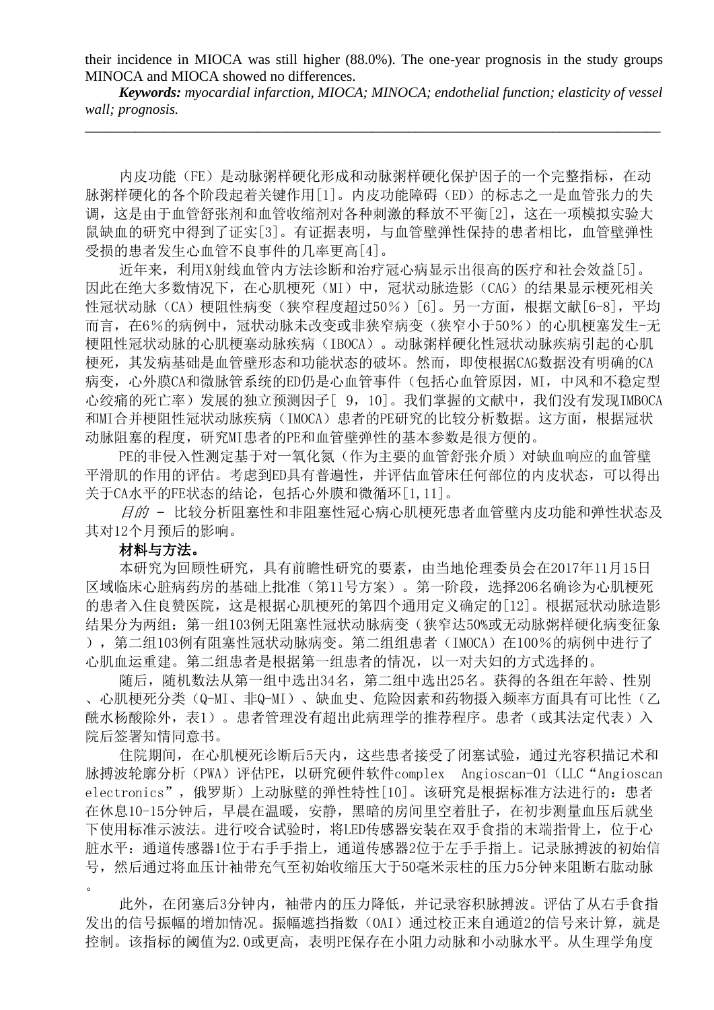their incidence in MIOCA was still higher (88.0%). The one-year prognosis in the study groups MINOCA and MIOCA showed no differences.

*Keywords: myocardial infarction, MIOCA; MINOCA; endothelial function; elasticity of vessel wall; prognosis.* \_\_\_\_\_\_\_\_\_\_\_\_\_\_\_\_\_\_\_\_\_\_\_\_\_\_\_\_\_\_\_\_\_\_\_\_\_\_\_\_\_\_\_\_\_\_\_\_\_\_\_\_\_\_\_\_\_\_\_\_\_\_\_\_\_\_\_\_\_\_\_\_\_\_\_\_\_\_\_\_

内皮功能(FE)是动脉粥样硬化形成和动脉粥样硬化保护因子的一个完整指标,在动 脉粥样硬化的各个阶段起着关键作用[1]。内皮功能障碍(ED)的标志之一是血管张力的失 调,这是由于血管舒张剂和血管收缩剂对各种刺激的释放不平衡[2],这在一项模拟实验大 鼠缺血的研究中得到了证实[3]。有证据表明,与血管壁弹性保持的患者相比,血管壁弹性 受损的患者发生心血管不良事件的几率更高[4]。

近年来,利用X射线血管内方法诊断和治疗冠心病显示出很高的医疗和社会效益[5]。 因此在绝大多数情况下,在心肌梗死(MI)中,冠状动脉造影(CAG)的结果显示梗死相关 性冠状动脉(CA)梗阻性病变(狭窄程度超过50%)[6]。另一方面,根据文献[6-8],平均 而言, 在6%的病例中, 冠状动脉未改变或非狭窄病变(狭窄小于50%)的心肌梗塞发生-无 梗阻性冠状动脉的心肌梗塞动脉疾病(IBOCA)。动脉粥样硬化性冠状动脉疾病引起的心肌 梗死,其发病基础是血管壁形态和功能状态的破坏。然而,即使根据CAG数据没有明确的CA 病变,心外膜CA和微脉管系统的ED仍是心血管事件(包括心血管原因,MI,中风和不稳定型 心绞痛的死亡率)发展的独立预测因子[ 9,10]。我们掌握的文献中,我们没有发现IMBOCA 和MI合并梗阻性冠状动脉疾病(IMOCA)患者的PE研究的比较分析数据。这方面,根据冠状 动脉阻塞的程度,研究MI患者的PE和血管壁弹性的基本参数是很方便的。

PE的非侵入性测定基于对一氧化氮(作为主要的血管舒张介质)对缺血响应的血管壁 平滑肌的作用的评估。考虑到ED具有普遍性,并评估血管床任何部位的内皮状态,可以得出 关于CA水平的EE状态的结论,包括心外膜和微循环[1,11]。

目的 - 比较分析阻塞性和非阻塞性冠心病心肌梗死患者血管壁内皮功能和弹性状态及 其对12个月预后的影响。

# 材料与方法。

本研究为回顾性研究,具有前瞻性研究的要素,由当地伦理委员会在2017年11月15日 区域临床心脏病药房的基础上批准(第11号方案)。第一阶段,选择206名确诊为心肌梗死 的患者入住良赞医院,这是根据心肌梗死的第四个通用定义确定的[12]。根据冠状动脉造影 结果分为两组:第一组103例无阻塞性冠状动脉病变(狭窄达50%或无动脉粥样硬化病变征象 ),第二组103例有阻塞性冠状动脉病变。第二组组患者(IMOCA)在100%的病例中进行了 心肌血运重建。第二组患者是根据第一组患者的情况,以一对夫妇的方式选择的。

随后,随机数法从第一组中选出34名,第二组中选出25名。获得的各组在年龄、性别 、心肌梗死分类(Q-MI、非Q-MI)、缺血史、危险因素和药物摄入频率方面具有可比性(乙 酰水杨酸除外,表1)。患者管理没有超出此病理学的推荐程序。患者(或其法定代表)入 院后签署知情同意书。

住院期间,在心肌梗死诊断后5天内,这些患者接受了闭塞试验,通过光容积描记术和 脉搏波轮廓分析(PWA)评估PE,以研究硬件软件complex Angioscan-01(LLC"Angioscan electronics",俄罗斯)上动脉壁的弹性特性[10]。该研究是根据标准方法进行的:患者 在休息10-15分钟后,早晨在温暖,安静,黑暗的房间里空着肚子,在初步测量血压后就坐 下使用标准示波法。进行咬合试验时,将LED传感器安装在双手食指的末端指骨上,位于心 脏水平:通道传感器1位于右手手指上,通道传感器2位于左手手指上。记录脉搏波的初始信 号,然后通过将血压计袖带充气至初始收缩压大于50毫米汞柱的压力5分钟来阻断右肱动脉 。

此外,在闭塞后3分钟内,袖带内的压力降低,并记录容积脉搏波。评估了从右手食指 发出的信号振幅的增加情况。振幅遮挡指数(OAI)通过校正来自通道2的信号来计算, 就是 控制。该指标的阈值为2.0或更高,表明PE保存在小阻力动脉和小动脉水平。从生理学角度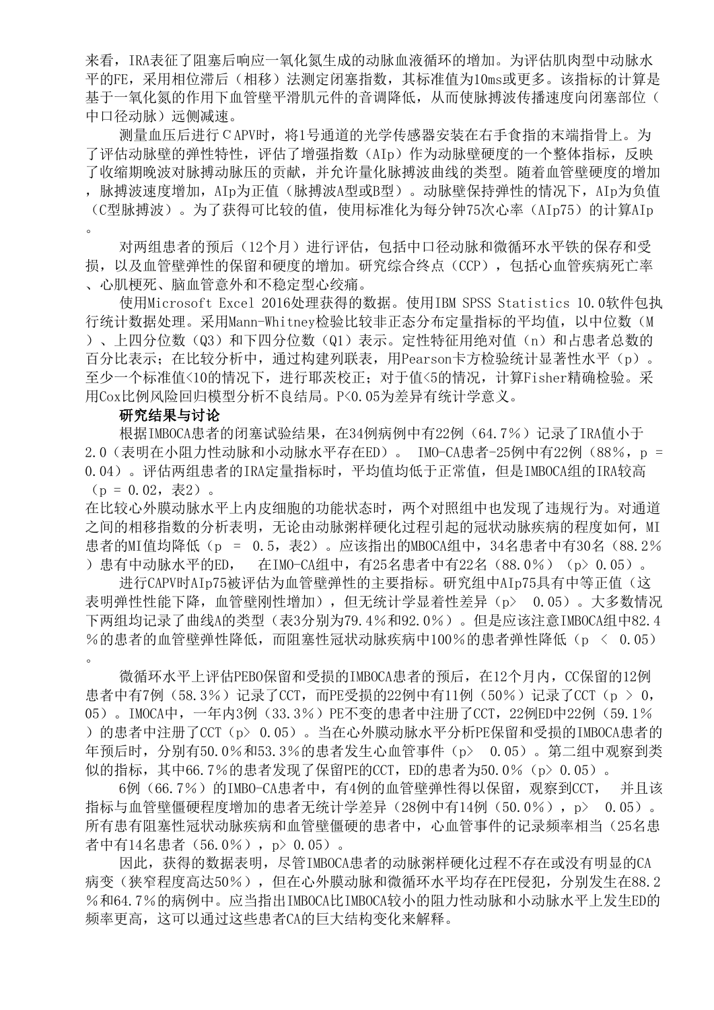来看,IRA表征了阻塞后响应一氧化氮生成的动脉血液循环的增加。为评估肌肉型中动脉水 平的FE,采用相位滞后(相移)法测定闭塞指数,其标准值为10ms或更多。该指标的计算是 基于一氧化氮的作用下血管壁平滑肌元件的音调降低,从而使脉搏波传播速度向闭塞部位( 中口径动脉)远侧减速。

测量血压后进行СAPV时,将1号通道的光学传感器安装在右手食指的末端指骨上。为 了评估动脉壁的弹性特性,评估了增强指数(AIp)作为动脉壁硬度的一个整体指标,反映 了收缩期晚波对脉搏动脉压的贡献,并允许量化脉搏波曲线的类型。随着血管壁硬度的增加 ,脉搏波速度增加,AIp为正值(脉搏波A型或B型)。动脉壁保持弹性的情况下,AIp为负值 (C型脉搏波)。为了获得可比较的值,使用标准化为每分钟75次心率(AIp75)的计算AIp  $\ddot{\phantom{0}}$ 

对两组患者的预后(12个月)进行评估,包括中口径动脉和微循环水平铁的保存和受 损,以及血管壁弹性的保留和硬度的增加。研究综合终点(CCP),包括心血管疾病死亡率 、心肌梗死、脑血管意外和不稳定型心绞痛。

使用Microsoft Excel 2016处理获得的数据。使用IBM SPSS Statistics 10.0软件包执 行统计数据处理。采用Mann-Whitney检验比较非正态分布定量指标的平均值,以中位数(M )、上四分位数(Q3)和下四分位数(Q1)表示。定性特征用绝对值(n)和占患者总数的 百分比表示;在比较分析中,通过构建列联表,用Pearson卡方检验统计显著性水平(p)。 至少一个标准值<10的情况下,进行耶茨校正;对于值<5的情况,计算Fisher精确检验。采 用Cox比例风险回归模型分析不良结局。P<0.05为差异有统计学意义。

### 研究结果与讨论

根据IMBOCA患者的闭塞试验结果, 在34例病例中有22例 (64.7%)记录了IRA值小于 2.0(表明在小阻力性动脉和小动脉水平存在ED)。 IMO-CA患者-25例中有22例 (88%, p = 0.04)。评估两组患者的IRA定量指标时,平均值均低于正常值,但是IMBOCA组的IRA较高  $(p = 0.02, \; \bar{\bar{\mathcal{R}}}$ 2)。

在比较心外膜动脉水平上内皮细胞的功能状态时,两个对照组中也发现了违规行为。对通道 之间的相移指数的分析表明,无论由动脉粥样硬化过程引起的冠状动脉疾病的程度如何,MI 患者的MI值均降低(p = 0.5, 表2)。应该指出的MBOCA组中, 34名患者中有30名 (88.2% )患有中动脉水平的ED, 在IMO-CA组中,有25名患者中有22名(88.0%)(p> 0.05)。

进行CAPV时AIp75被评估为血管壁弹性的主要指标。研究组中AIp75具有中等正值(这 表明弹性性能下降,血管壁刚性增加),但无统计学显着性差异(p> 0.05)。大多数情况 下两组均记录了曲线A的类型(表3分别为79.4%和92.0%)。但是应该注意IMBOCA组中82.4 %的患者的血管壁弹性降低,而阻塞性冠状动脉疾病中100%的患者弹性降低(p < 0.05) 。

微循环水平上评估PEBO保留和受损的IMBOCA患者的预后,在12个月内,CC保留的12例 患者中有7例(58.3%)记录了CCT,而PE受损的22例中有11例(50%)记录了CCT(p > 0, 05)。IMOCA中,一年内3例(33.3%)PE不变的患者中注册了CCT,22例ED中22例(59.1% )的患者中注册了CCT(p> 0.05)。当在心外膜动脉水平分析PE保留和受损的IMBOCA患者的 年预后时,分别有50.0%和53.3%的患者发生心血管事件(p> 0.05)。第二组中观察到类 似的指标, 其中66.7%的患者发现了保留PE的CCT, ED的患者为50.0% (p> 0.05)。

6例 (66.7%) 的IMBO-CA患者中, 有4例的血管壁弹性得以保留, 观察到CCT, 并且该 指标与血管壁僵硬程度增加的患者无统计学差异(28例中有14例(50.0%),p> 0.05)。 所有患有阻塞性冠状动脉疾病和血管壁僵硬的患者中,心血管事件的记录频率相当(25名患 者中有14名患者(56.0%),p> 0.05)。

因此,获得的数据表明,尽管IMBOCA患者的动脉粥样硬化过程不存在或没有明显的CA 病变(狭窄程度高达50%),但在心外膜动脉和微循环水平均存在PE侵犯,分别发生在88.2 %和64.7%的病例中。应当指出IMBOCA比IMBOCA较小的阻力性动脉和小动脉水平上发生ED的 频率更高,这可以通过这些患者CA的巨大结构变化来解释。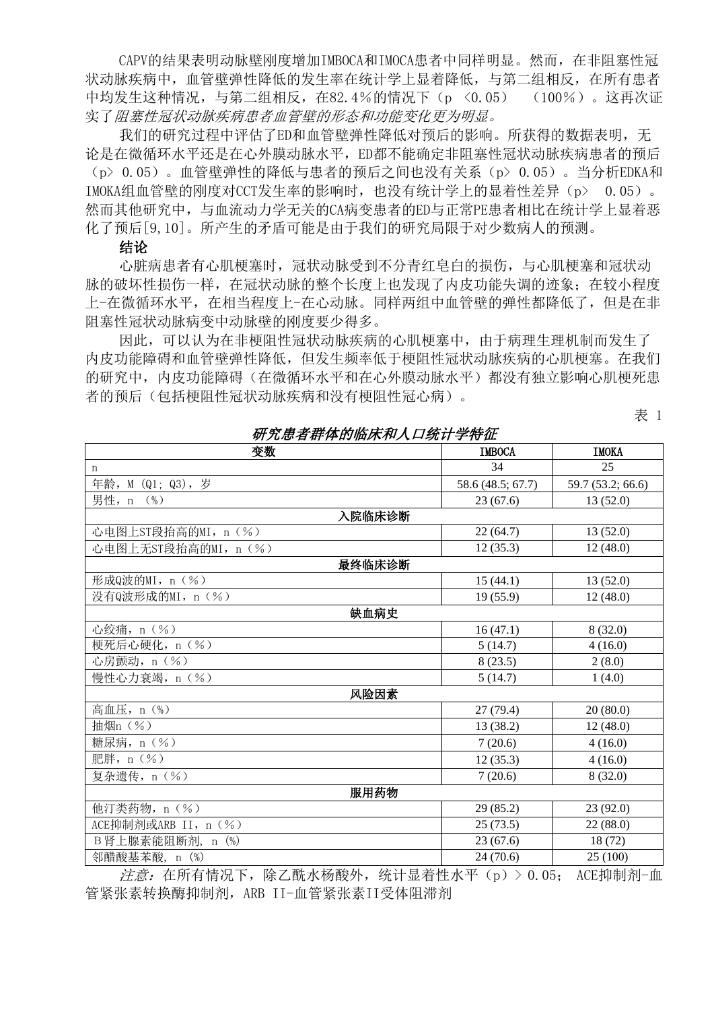CAPV的结果表明动脉壁刚度增加IMBOCA和IMOCA患者中同样明显。然而,在非阻塞性冠 状动脉疾病中,血管壁弹性降低的发生率在统计学上显着降低,与第二组相反,在所有患者 中均发生这种情况,与第二组相反,在82.4%的情况下(p <0.05) (100%)。这再次证 实了阻塞性冠状动脉疾病患者血管壁的形态和功能变化更为明显。

我们的研究过程中评估了ED和血管壁弹性降低对预后的影响。所获得的数据表明,无 论是在微循环水平还是在心外膜动脉水平,ED都不能确定非阻塞性冠状动脉疾病患者的预后 (p> 0.05)。血管壁弹性的降低与患者的预后之间也没有关系(p> 0.05)。当分析EDKA和 IMOKA组血管壁的刚度对CCT发生率的影响时,也没有统计学上的显着性差异(p> 0.05)。 然而其他研究中,与血流动力学无关的CA病变患者的ED与正常PE患者相比在统计学上显着恶 化了预后[9,10]。所产生的矛盾可能是由于我们的研究局限于对少数病人的预测。

#### 结论

心脏病患者有心肌梗塞时,冠状动脉受到不分青红皂白的损伤,与心肌梗塞和冠状动 脉的破坏性损伤一样,在冠状动脉的整个长度上也发现了内皮功能失调的迹象;在较小程度 上-在微循环水平,在相当程度上-在心动脉。同样两组中血管壁的弹性都降低了,但是在非 阻塞性冠状动脉病变中动脉壁的刚度要少得多。

因此,可以认为在非梗阻性冠状动脉疾病的心肌梗塞中,由于病理生理机制而发生了 内皮功能障碍和血管壁弹性降低,但发生频率低于梗阻性冠状动脉疾病的心肌梗塞。在我们 的研究中,内皮功能障碍(在微循环水平和在心外膜动脉水平)都没有独立影响心肌梗死患 者的预后(包括梗阻性冠状动脉疾病和没有梗阻性冠心病)。

变数 IMBOCA IMOKA n 34 25 年龄, M (Q1; Q3), 岁 58.6 (48.5; 67.7) 59.7 (53.2; 66.6) 男性, n (%) 33 (67.6) 13 (52.0) 入院临床诊断 心电图上ST段抬高的MI, n (%) 22 (64.7) 13 (52.0) 心电图上无ST段抬高的MI, n (%) 12 (35.3) 12 (35.3) 12 (48.0) 最终临床诊断 形成Q波的MI, n (%) 15 (44.1) 13 (52.0) 没有Q波形成的MI, n (%) 19 (55.9) 12 (48.0) 缺血病史 心绞痛, n  $(S_0)$  8 (32.0) 梗死后心硬化, n (%) 5 (14.7) 4 (16.0) 心房颤动, n  $(\%)$  2 (8.0) 慢性心力衰竭, n (%) <br>
5 (14.7) 1 (4.0) 风险因素 高血压,n(%) 27 (79.4) 20 (80.0) 抽烟n  $(\%)$  13 (38.2) 12 (48.0) 糖尿病, n ( % ) <br>
2 (20.6) 4 (16.0) 肥胖, n  $(\%)$  4 (16.0) 复杂遗传,n(%) 7 (20.6) 8 (32.0) 服用药物 他汀类药物, n (%) 29 (85.2) 23 (92.0) ACE抑制剂或ARB II, n (%) 25 (73.5) 22 (88.0) B肾上腺素能阻断剂, n (%) 23 (67.6) 18 (72) \$P 邻醋酸基苯酸, n (%) 25 (100) 24 (70.6) 25 (100)

注意:在所有情况下,除乙酰水杨酸外,统计显着性水平(p)> 0.05; ACE抑制剂-血 管紧张素转换酶抑制剂, ARB II-血管紧张素II受体阻滞剂

研究患者群体的临床和人口统计学特征

## 表 1